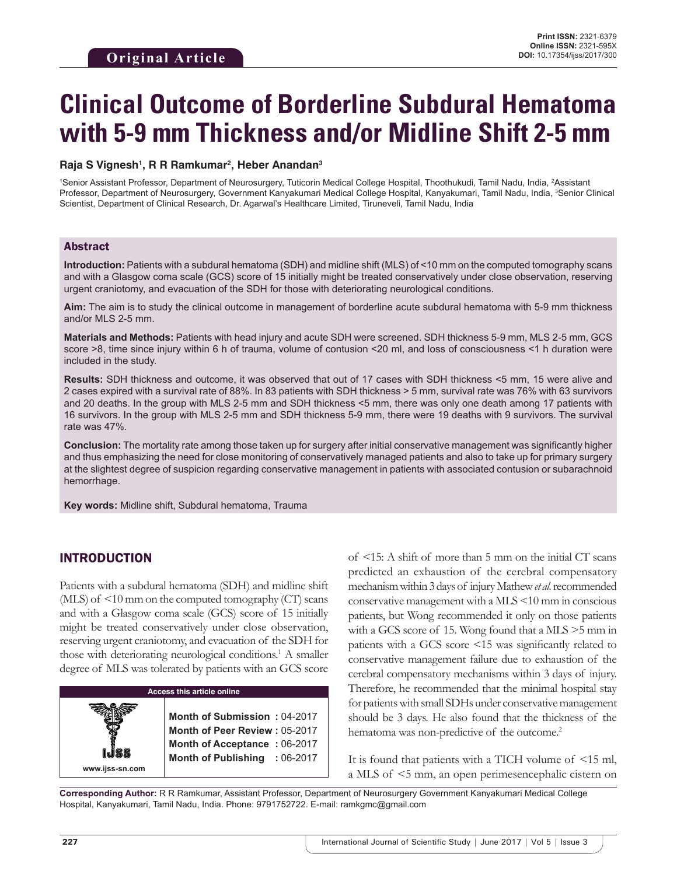# **Clinical Outcome of Borderline Subdural Hematoma with 5-9 mm Thickness and/or Midline Shift 2-5 mm**

#### **Raja S Vignesh1 , R R Ramkumar2 , Heber Anandan3**

<sup>1</sup>Senior Assistant Professor, Department of Neurosurgery, Tuticorin Medical College Hospital, Thoothukudi, Tamil Nadu, India, <sup>2</sup>Assistant Professor, Department of Neurosurgery, Government Kanyakumari Medical College Hospital, Kanyakumari, Tamil Nadu, India, <sup>3</sup>Senior Clinical Scientist, Department of Clinical Research, Dr. Agarwal's Healthcare Limited, Tiruneveli, Tamil Nadu, India

### Abstract

**Introduction:** Patients with a subdural hematoma (SDH) and midline shift (MLS) of <10 mm on the computed tomography scans and with a Glasgow coma scale (GCS) score of 15 initially might be treated conservatively under close observation, reserving urgent craniotomy, and evacuation of the SDH for those with deteriorating neurological conditions.

**Aim:** The aim is to study the clinical outcome in management of borderline acute subdural hematoma with 5-9 mm thickness and/or MLS 2-5 mm.

**Materials and Methods:** Patients with head injury and acute SDH were screened. SDH thickness 5-9 mm, MLS 2-5 mm, GCS score >8, time since injury within 6 h of trauma, volume of contusion <20 ml, and loss of consciousness <1 h duration were included in the study.

**Results:** SDH thickness and outcome, it was observed that out of 17 cases with SDH thickness <5 mm, 15 were alive and 2 cases expired with a survival rate of 88%. In 83 patients with SDH thickness > 5 mm, survival rate was 76% with 63 survivors and 20 deaths. In the group with MLS 2-5 mm and SDH thickness <5 mm, there was only one death among 17 patients with 16 survivors. In the group with MLS 2-5 mm and SDH thickness 5-9 mm, there were 19 deaths with 9 survivors. The survival rate was 47%.

**Conclusion:** The mortality rate among those taken up for surgery after initial conservative management was significantly higher and thus emphasizing the need for close monitoring of conservatively managed patients and also to take up for primary surgery at the slightest degree of suspicion regarding conservative management in patients with associated contusion or subarachnoid hemorrhage.

**Key words:** Midline shift, Subdural hematoma, Trauma

## INTRODUCTION

Patients with a subdural hematoma (SDH) and midline shift (MLS) of <10 mm on the computed tomography (CT) scans and with a Glasgow coma scale (GCS) score of 15 initially might be treated conservatively under close observation, reserving urgent craniotomy, and evacuation of the SDH for those with deteriorating neurological conditions.<sup>1</sup> A smaller degree of MLS was tolerated by patients with an GCS score

| <b>Access this article online</b> |                                                                                                                                       |  |
|-----------------------------------|---------------------------------------------------------------------------------------------------------------------------------------|--|
| www.ijss-sn.com                   | Month of Submission: 04-2017<br><b>Month of Peer Review: 05-2017</b><br>Month of Acceptance: 06-2017<br>Month of Publishing : 06-2017 |  |

of <15: A shift of more than 5 mm on the initial CT scans predicted an exhaustion of the cerebral compensatory mechanism within 3days of injury Mathew *et al.* recommended conservative management with a MLS <10 mm in conscious patients, but Wong recommended it only on those patients with a GCS score of 15. Wong found that a MLS >5 mm in patients with a GCS score <15 was significantly related to conservative management failure due to exhaustion of the cerebral compensatory mechanisms within 3 days of injury. Therefore, he recommended that the minimal hospital stay for patients with small SDHs under conservative management should be 3 days. He also found that the thickness of the hematoma was non-predictive of the outcome.<sup>2</sup>

It is found that patients with a TICH volume of <15 ml, a MLS of <5 mm, an open perimesencephalic cistern on

**Corresponding Author:** R R Ramkumar, Assistant Professor, Department of Neurosurgery Government Kanyakumari Medical College Hospital, Kanyakumari, Tamil Nadu, India. Phone: 9791752722. E-mail: ramkgmc@gmail.com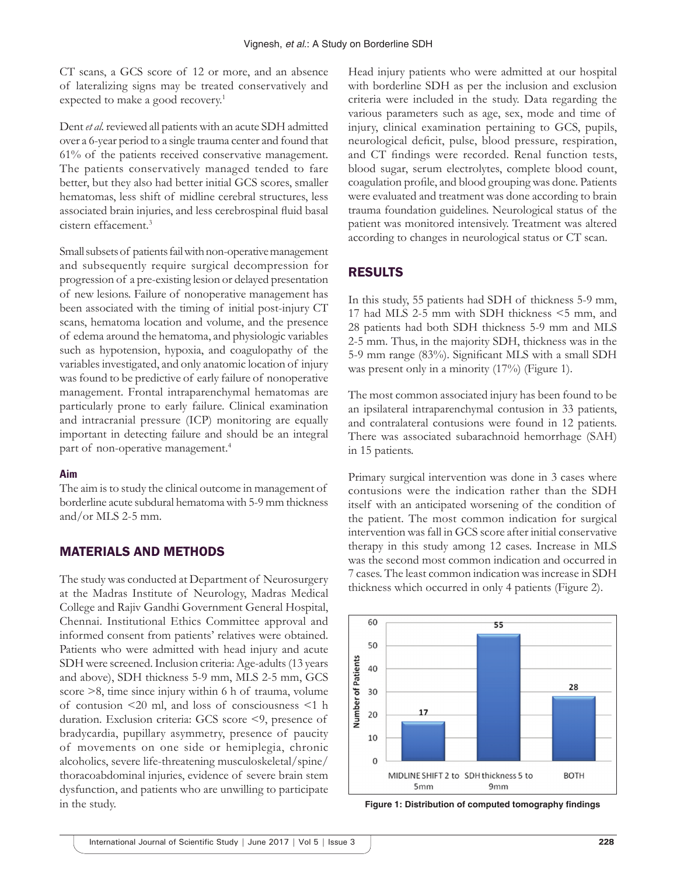CT scans, a GCS score of 12 or more, and an absence of lateralizing signs may be treated conservatively and expected to make a good recovery.<sup>1</sup>

Dent *et al.* reviewed all patients with an acute SDH admitted over a 6-year period to a single trauma center and found that 61% of the patients received conservative management. The patients conservatively managed tended to fare better, but they also had better initial GCS scores, smaller hematomas, less shift of midline cerebral structures, less associated brain injuries, and less cerebrospinal fluid basal cistern effacement.3

Small subsets of patients fail with non-operative management and subsequently require surgical decompression for progression of a pre-existing lesion or delayed presentation of new lesions. Failure of nonoperative management has been associated with the timing of initial post-injury CT scans, hematoma location and volume, and the presence of edema around the hematoma, and physiologic variables such as hypotension, hypoxia, and coagulopathy of the variables investigated, and only anatomic location of injury was found to be predictive of early failure of nonoperative management. Frontal intraparenchymal hematomas are particularly prone to early failure. Clinical examination and intracranial pressure (ICP) monitoring are equally important in detecting failure and should be an integral part of non-operative management.<sup>4</sup>

#### **Aim**

The aim is to study the clinical outcome in management of borderline acute subdural hematoma with 5-9 mm thickness and/or MLS 2-5 mm.

### MATERIALS AND METHODS

The study was conducted at Department of Neurosurgery at the Madras Institute of Neurology, Madras Medical College and Rajiv Gandhi Government General Hospital, Chennai. Institutional Ethics Committee approval and informed consent from patients' relatives were obtained. Patients who were admitted with head injury and acute SDH were screened. Inclusion criteria: Age-adults (13 years and above), SDH thickness 5-9 mm, MLS 2-5 mm, GCS score  $\geq$ 8, time since injury within 6 h of trauma, volume of contusion <20 ml, and loss of consciousness <1 h duration. Exclusion criteria: GCS score <9, presence of bradycardia, pupillary asymmetry, presence of paucity of movements on one side or hemiplegia, chronic alcoholics, severe life-threatening musculoskeletal/spine/ thoracoabdominal injuries, evidence of severe brain stem dysfunction, and patients who are unwilling to participate in the study.

Head injury patients who were admitted at our hospital with borderline SDH as per the inclusion and exclusion criteria were included in the study. Data regarding the various parameters such as age, sex, mode and time of injury, clinical examination pertaining to GCS, pupils, neurological deficit, pulse, blood pressure, respiration, and CT findings were recorded. Renal function tests, blood sugar, serum electrolytes, complete blood count, coagulation profile, and blood grouping was done. Patients were evaluated and treatment was done according to brain trauma foundation guidelines. Neurological status of the patient was monitored intensively. Treatment was altered according to changes in neurological status or CT scan.

## RESULTS

In this study, 55 patients had SDH of thickness 5-9 mm, 17 had MLS 2-5 mm with SDH thickness <5 mm, and 28 patients had both SDH thickness 5-9 mm and MLS 2-5 mm. Thus, in the majority SDH, thickness was in the 5-9 mm range (83%). Significant MLS with a small SDH was present only in a minority (17%) (Figure 1).

The most common associated injury has been found to be an ipsilateral intraparenchymal contusion in 33 patients, and contralateral contusions were found in 12 patients. There was associated subarachnoid hemorrhage (SAH) in 15 patients.

Primary surgical intervention was done in 3 cases where contusions were the indication rather than the SDH itself with an anticipated worsening of the condition of the patient. The most common indication for surgical intervention was fall in GCS score after initial conservative therapy in this study among 12 cases. Increase in MLS was the second most common indication and occurred in 7 cases. The least common indication was increase in SDH thickness which occurred in only 4 patients (Figure 2).



**Figure 1: Distribution of computed tomography findings**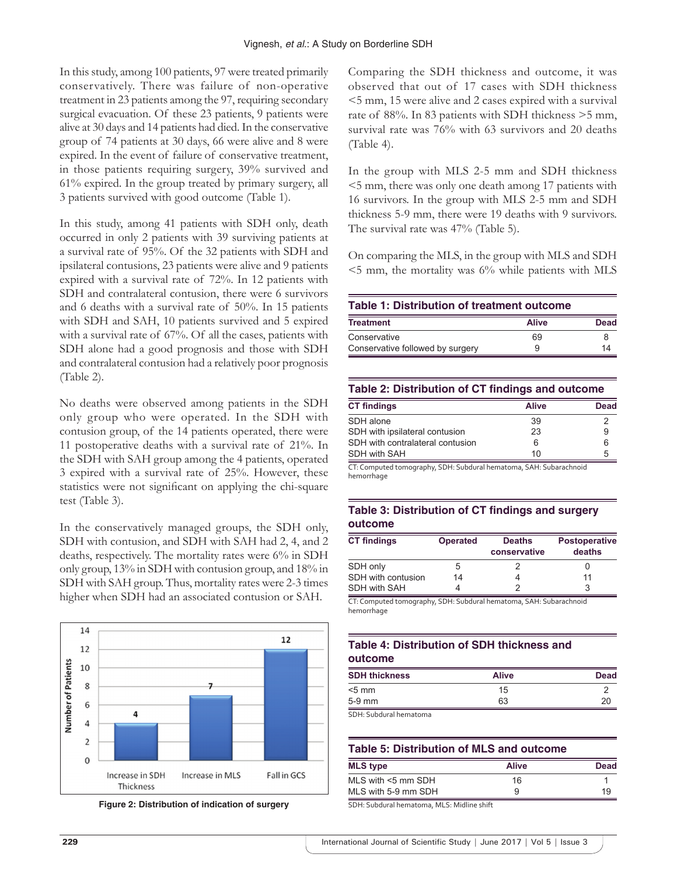In this study, among 100 patients, 97 were treated primarily conservatively. There was failure of non-operative treatment in 23 patients among the 97, requiring secondary surgical evacuation. Of these 23 patients, 9 patients were alive at 30 days and 14 patients had died. In the conservative group of 74 patients at 30 days, 66 were alive and 8 were expired. In the event of failure of conservative treatment, in those patients requiring surgery, 39% survived and 61% expired. In the group treated by primary surgery, all 3 patients survived with good outcome (Table 1).

In this study, among 41 patients with SDH only, death occurred in only 2 patients with 39 surviving patients at a survival rate of 95%. Of the 32 patients with SDH and ipsilateral contusions, 23 patients were alive and 9 patients expired with a survival rate of 72%. In 12 patients with SDH and contralateral contusion, there were 6 survivors and 6 deaths with a survival rate of 50%. In 15 patients with SDH and SAH, 10 patients survived and 5 expired with a survival rate of 67%. Of all the cases, patients with SDH alone had a good prognosis and those with SDH and contralateral contusion had a relatively poor prognosis (Table 2).

No deaths were observed among patients in the SDH only group who were operated. In the SDH with contusion group, of the 14 patients operated, there were 11 postoperative deaths with a survival rate of 21%. In the SDH with SAH group among the 4 patients, operated 3 expired with a survival rate of 25%. However, these statistics were not significant on applying the chi-square test (Table 3).

In the conservatively managed groups, the SDH only, SDH with contusion, and SDH with SAH had 2, 4, and 2 deaths, respectively. The mortality rates were 6% in SDH only group, 13% in SDH with contusion group, and 18% in SDH with SAH group. Thus, mortality rates were 2-3 times higher when SDH had an associated contusion or SAH.





Comparing the SDH thickness and outcome, it was observed that out of 17 cases with SDH thickness <5 mm, 15 were alive and 2 cases expired with a survival rate of 88%. In 83 patients with SDH thickness >5 mm, survival rate was 76% with 63 survivors and 20 deaths (Table 4).

In the group with MLS 2-5 mm and SDH thickness <5 mm, there was only one death among 17 patients with 16 survivors. In the group with MLS 2-5 mm and SDH thickness 5-9 mm, there were 19 deaths with 9 survivors. The survival rate was 47% (Table 5).

On comparing the MLS, in the group with MLS and SDH  $\leq$ 5 mm, the mortality was 6% while patients with MLS

| Table 1: Distribution of treatment outcome |              |             |  |
|--------------------------------------------|--------------|-------------|--|
| <b>Treatment</b>                           | <b>Alive</b> | <b>Dead</b> |  |
| Conservative                               | 69           |             |  |
| Conservative followed by surgery           | 9            | 14          |  |

#### **Table 2: Distribution of CT findings and outcome**

| <b>CT findings</b>               | Alive | Dead |
|----------------------------------|-------|------|
| SDH alone                        | 39    |      |
| SDH with ipsilateral contusion   | 23    | 9    |
| SDH with contralateral contusion | 6     | ิค   |
| <b>SDH with SAH</b>              | 10    | 5    |

CT: Computed tomography, SDH: Subdural hematoma, SAH: Subarachnoid hemorrhage

#### **Table 3: Distribution of CT findings and surgery outcome**

| <b>CT findings</b> | <b>Operated</b> | <b>Deaths</b><br>conservative | <b>Postoperative</b><br>deaths |
|--------------------|-----------------|-------------------------------|--------------------------------|
| SDH only           | 5               |                               |                                |
| SDH with contusion | 14              |                               | 11                             |
| SDH with SAH       |                 |                               | 3                              |

CT: Computed tomography, SDH: Subdural hematoma, SAH: Subarachnoid hemorrhage

#### **Table 4: Distribution of SDH thickness and outcome**

| <b>SDH thickness</b> | <b>Alive</b> | <b>Dead</b> |
|----------------------|--------------|-------------|
| $5$ mm               | 15           |             |
| $5-9$ mm             | 63           | 20          |
| CD11221              |              |             |

H: Subdural hemato

| Table 5: Distribution of MLS and outcome |              |      |  |
|------------------------------------------|--------------|------|--|
| <b>MLS</b> type                          | <b>Alive</b> | Dead |  |
| $MLS$ with $\leq$ 5 mm SDH               | 16           |      |  |
| MLS with 5-9 mm SDH                      | 9            | 19   |  |

SDH: Subdural hematoma, MLS: Midline shift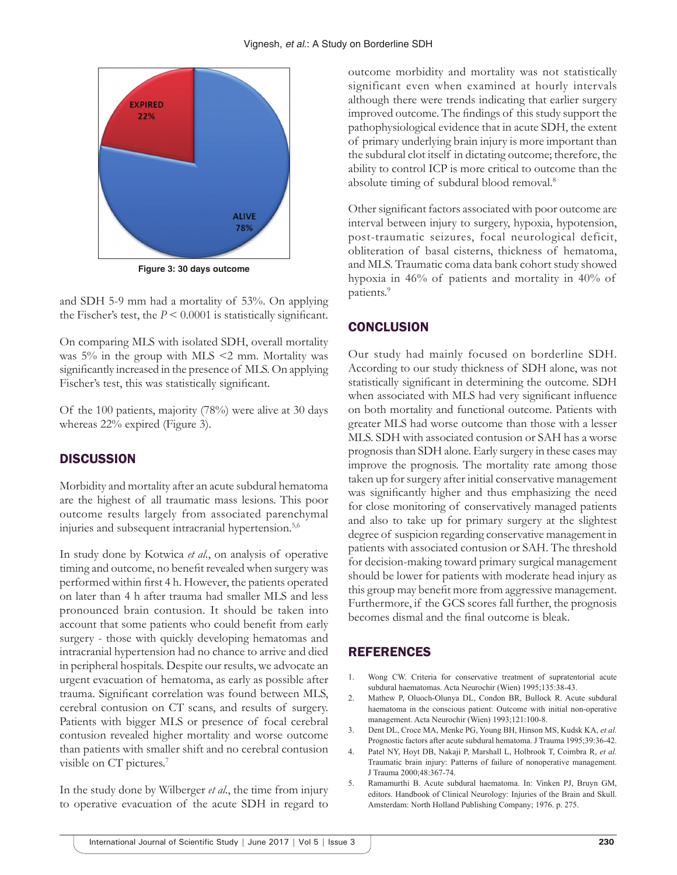

**Figure 3: 30 days outcome**

and SDH 5-9 mm had a mortality of 53%. On applying the Fischer's test, the  $P \le 0.0001$  is statistically significant.

On comparing MLS with isolated SDH, overall mortality was 5% in the group with MLS <2 mm. Mortality was significantly increased in the presence of MLS. On applying Fischer's test, this was statistically significant.

Of the 100 patients, majority (78%) were alive at 30 days whereas 22% expired (Figure 3).

## **DISCUSSION**

Morbidity and mortality after an acute subdural hematoma are the highest of all traumatic mass lesions. This poor outcome results largely from associated parenchymal injuries and subsequent intracranial hypertension.<sup>5,6</sup>

In study done by Kotwica *et al*., on analysis of operative timing and outcome, no benefit revealed when surgery was performed within first 4 h. However, the patients operated on later than 4 h after trauma had smaller MLS and less pronounced brain contusion. It should be taken into account that some patients who could benefit from early surgery - those with quickly developing hematomas and intracranial hypertension had no chance to arrive and died in peripheral hospitals. Despite our results, we advocate an urgent evacuation of hematoma, as early as possible after trauma. Significant correlation was found between MLS, cerebral contusion on CT scans, and results of surgery. Patients with bigger MLS or presence of focal cerebral contusion revealed higher mortality and worse outcome than patients with smaller shift and no cerebral contusion visible on CT pictures.7

In the study done by Wilberger *et al*., the time from injury to operative evacuation of the acute SDH in regard to outcome morbidity and mortality was not statistically significant even when examined at hourly intervals although there were trends indicating that earlier surgery improved outcome. The findings of this study support the pathophysiological evidence that in acute SDH, the extent of primary underlying brain injury is more important than the subdural clot itself in dictating outcome; therefore, the ability to control ICP is more critical to outcome than the absolute timing of subdural blood removal.8

Other significant factors associated with poor outcome are interval between injury to surgery, hypoxia, hypotension, post-traumatic seizures, focal neurological deficit, obliteration of basal cisterns, thickness of hematoma, and MLS. Traumatic coma data bank cohort study showed hypoxia in 46% of patients and mortality in 40% of patients.<sup>9</sup>

## **CONCLUSION**

Our study had mainly focused on borderline SDH. According to our study thickness of SDH alone, was not statistically significant in determining the outcome. SDH when associated with MLS had very significant influence on both mortality and functional outcome. Patients with greater MLS had worse outcome than those with a lesser MLS. SDH with associated contusion or SAH has a worse prognosis than SDH alone. Early surgery in these cases may improve the prognosis. The mortality rate among those taken up for surgery after initial conservative management was significantly higher and thus emphasizing the need for close monitoring of conservatively managed patients and also to take up for primary surgery at the slightest degree of suspicion regarding conservative management in patients with associated contusion or SAH. The threshold for decision-making toward primary surgical management should be lower for patients with moderate head injury as this group may benefit more from aggressive management. Furthermore, if the GCS scores fall further, the prognosis becomes dismal and the final outcome is bleak.

## **REFERENCES**

- 1. Wong CW. Criteria for conservative treatment of supratentorial acute subdural haematomas. Acta Neurochir (Wien) 1995;135:38-43.
- 2. Mathew P, Oluoch-Olunya DL, Condon BR, Bullock R. Acute subdural haematoma in the conscious patient: Outcome with initial non-operative management. Acta Neurochir (Wien) 1993;121:100-8.
- 3. Dent DL, Croce MA, Menke PG, Young BH, Hinson MS, Kudsk KA, *et al.* Prognostic factors after acute subdural hematoma. J Trauma 1995;39:36-42.
- 4. Patel NY, Hoyt DB, Nakaji P, Marshall L, Holbrook T, Coimbra R, *et al.* Traumatic brain injury: Patterns of failure of nonoperative management. J Trauma 2000;48:367-74.
- 5. Ramamurthi B. Acute subdural haematoma. In: Vinken PJ, Bruyn GM, editors. Handbook of Clinical Neurology: Injuries of the Brain and Skull. Amsterdam: North Holland Publishing Company; 1976. p. 275.